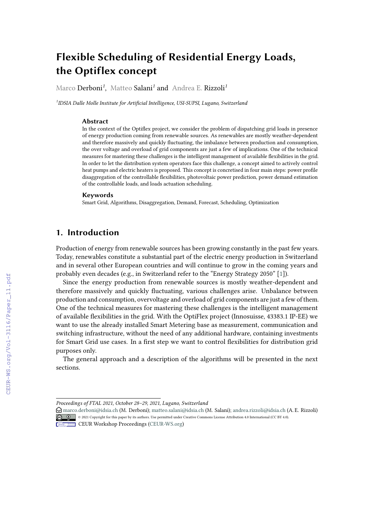# **Flexible Scheduling of Residential Energy Loads, the Optiflex concept**

Marco Derboni*<sup>1</sup>* , Matteo Salani*<sup>1</sup>* and Andrea E. Rizzoli*<sup>1</sup>*

*1 IDSIA Dalle Molle Institute for Artificial Intelligence, USI-SUPSI, Lugano, Switzerland*

#### **Abstract**

In the context of the Optiflex project, we consider the problem of dispatching grid loads in presence of energy production coming from renewable sources. As renewables are mostly weather-dependent and therefore massively and quickly fluctuating, the imbalance between production and consumption, the over voltage and overload of grid components are just a few of implications. One of the technical measures for mastering these challenges is the intelligent management of available flexibilities in the grid. In order to let the distribution system operators face this challenge, a concept aimed to actively control heat pumps and electric heaters is proposed. This concept is concretised in four main steps: power profile disaggregation of the controllable flexibilities, photovoltaic power prediction, power demand estimation of the controllable loads, and loads actuation scheduling.

#### **Keywords**

Smart Grid, Algorithms, Disaggregation, Demand, Forecast, Scheduling, Optimization

### **1. Introduction**

Production of energy from renewable sources has been growing constantly in the past few years. Today, renewables constitute a substantial part of the electric energy production in Switzerland and in several other European countries and will continue to grow in the coming years and probably even decades (e.g., in Switzerland refer to the "Energy Strategy 2050" [\[1\]](#page--1-0)).

Since the energy production from renewable sources is mostly weather-dependent and therefore massively and quickly fluctuating, various challenges arise. Unbalance between production and consumption, overvoltage and overload of grid components are just a few of them. One of the technical measures for mastering these challenges is the intelligent management of available flexibilities in the grid. With the OptiFlex project (Innosuisse, 43383.1 IP-EE) we want to use the already installed Smart Metering base as measurement, communication and switching infrastructure, without the need of any additional hardware, containing investments for Smart Grid use cases. In a first step we want to control flexibilities for distribution grid purposes only.

The general approach and a description of the algorithms will be presented in the next sections.

*Proceedings of FTAL 2021, October 28–29, 2021, Lugano, Switzerland*

 $\bigcirc$  [marco.derboni@idsia.ch](mailto:marco.derboni@idsia.ch) (M. Derboni); [matteo.salani@idsia.ch](mailto:matteo.salani@idsia.ch) (M. Salani); [andrea.rizzoli@idsia.ch](mailto:andrea.rizzoli@idsia.ch) (A. E. Rizzoli) © 2021 Copyright for this paper by its authors. Use permitted under Creative Commons License Attribution 4.0 International (CC BY 4.0).

**CEUR Workshop [Proceedings](http://ceur-ws.org) [\(CEUR-WS.org\)](http://ceur-ws.org)**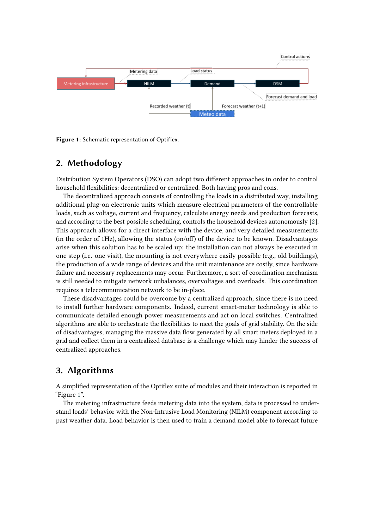

<span id="page-1-0"></span>**Figure 1:** Schematic representation of Optiflex.

## **2. Methodology**

Distribution System Operators (DSO) can adopt two different approaches in order to control household flexibilities: decentralized or centralized. Both having pros and cons.

The decentralized approach consists of controlling the loads in a distributed way, installing additional plug-on electronic units which measure electrical parameters of the controllable loads, such as voltage, current and frequency, calculate energy needs and production forecasts, and according to the best possible scheduling, controls the household devices autonomously [\[2\]](#page-7-0). This approach allows for a direct interface with the device, and very detailed measurements (in the order of 1Hz), allowing the status (on/off) of the device to be known. Disadvantages arise when this solution has to be scaled up: the installation can not always be executed in one step (i.e. one visit), the mounting is not everywhere easily possible (e.g., old buildings), the production of a wide range of devices and the unit maintenance are costly, since hardware failure and necessary replacements may occur. Furthermore, a sort of coordination mechanism is still needed to mitigate network unbalances, overvoltages and overloads. This coordination requires a telecommunication network to be in-place.

These disadvantages could be overcome by a centralized approach, since there is no need to install further hardware components. Indeed, current smart-meter technology is able to communicate detailed enough power measurements and act on local switches. Centralized algorithms are able to orchestrate the flexibilities to meet the goals of grid stability. On the side of disadvantages, managing the massive data flow generated by all smart meters deployed in a grid and collect them in a centralized database is a challenge which may hinder the success of centralized approaches.

### **3. Algorithms**

A simplified representation of the Optiflex suite of modules and their interaction is reported in "Figure [1"](#page-1-0).

The metering infrastructure feeds metering data into the system, data is processed to understand loads' behavior with the Non-Intrusive Load Monitoring (NILM) component according to past weather data. Load behavior is then used to train a demand model able to forecast future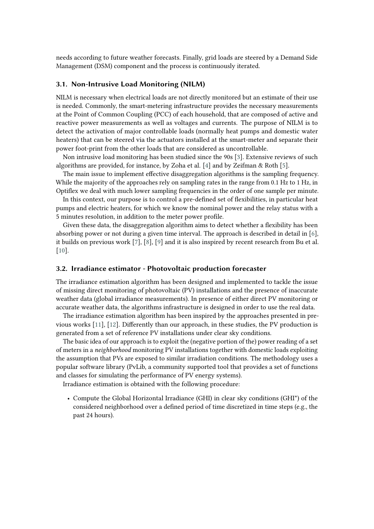needs according to future weather forecasts. Finally, grid loads are steered by a Demand Side Management (DSM) component and the process is continuously iterated.

#### **3.1. Non-Intrusive Load Monitoring (NILM)**

NILM is necessary when electrical loads are not directly monitored but an estimate of their use is needed. Commonly, the smart-metering infrastructure provides the necessary measurements at the Point of Common Coupling (PCC) of each household, that are composed of active and reactive power measurements as well as voltages and currents. The purpose of NILM is to detect the activation of major controllable loads (normally heat pumps and domestic water heaters) that can be steered via the actuators installed at the smart-meter and separate their power foot-print from the other loads that are considered as uncontrollable.

Non intrusive load monitoring has been studied since the 90s [\[3\]](#page-7-1). Extensive reviews of such algorithms are provided, for instance, by Zoha et al. [\[4\]](#page-7-2) and by Zeifman & Roth [\[5\]](#page-7-3).

The main issue to implement effective disaggregation algorithms is the sampling frequency. While the majority of the approaches rely on sampling rates in the range from 0.1 Hz to 1 Hz, in Optiflex we deal with much lower sampling frequencies in the order of one sample per minute.

In this context, our purpose is to control a pre-defined set of flexibilities, in particular heat pumps and electric heaters, for which we know the nominal power and the relay status with a 5 minutes resolution, in addition to the meter power profile.

Given these data, the disaggregation algorithm aims to detect whether a flexibility has been absorbing power or not during a given time interval. The approach is described in detail in  $[6]$ , it builds on previous work [\[7\]](#page-7-5), [\[8\]](#page-7-6), [\[9\]](#page-7-7) and it is also inspired by recent research from Bu et al. [\[10\]](#page-7-8).

#### **3.2. Irradiance estimator - Photovoltaic production forecaster**

The irradiance estimation algorithm has been designed and implemented to tackle the issue of missing direct monitoring of photovoltaic (PV) installations and the presence of inaccurate weather data (global irradiance measurements). In presence of either direct PV monitoring or accurate weather data, the algorithms infrastructure is designed in order to use the real data.

The irradiance estimation algorithm has been inspired by the approaches presented in previous works [\[11\]](#page-7-9), [\[12\]](#page-8-0). Differently than our approach, in these studies, the PV production is generated from a set of reference PV installations under clear sky conditions.

The basic idea of our approach is to exploit the (negative portion of the) power reading of a set of meters in a *neighborhood* monitoring PV installations together with domestic loads exploiting the assumption that PVs are exposed to similar irradiation conditions. The methodology uses a popular software library (PvLib, a community supported tool that provides a set of functions and classes for simulating the performance of PV energy systems).

Irradiance estimation is obtained with the following procedure:

• Compute the Global Horizontal Irradiance (GHI) in clear sky conditions (GHI\*) of the considered neighborhood over a defined period of time discretized in time steps (e.g., the past 24 hours).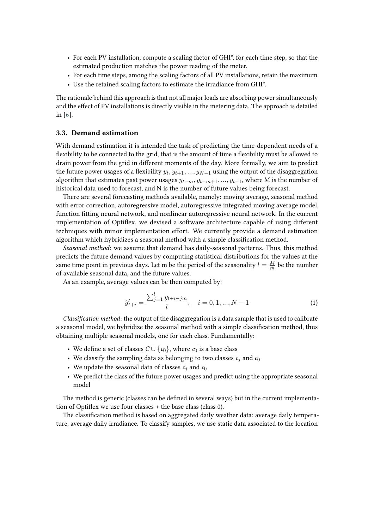- For each PV installation, compute a scaling factor of GHI\*, for each time step, so that the estimated production matches the power reading of the meter.
- For each time steps, among the scaling factors of all PV installations, retain the maximum.
- Use the retained scaling factors to estimate the irradiance from GHI\*.

The rationale behind this approach is that not all major loads are absorbing power simultaneously and the effect of PV installations is directly visible in the metering data. The approach is detailed in [\[6\]](#page-7-4).

#### **3.3. Demand estimation**

With demand estimation it is intended the task of predicting the time-dependent needs of a flexibility to be connected to the grid, that is the amount of time a flexibility must be allowed to drain power from the grid in different moments of the day. More formally, we aim to predict the future power usages of a flexibility  $y_t, y_{t+1}, ..., y_{N-1}$  using the output of the disaggregation algorithm that estimates past power usages  $y_{t-m}$ ,  $y_{t-m+1}$ , ...,  $y_{t-1}$ , where M is the number of historical data used to forecast, and N is the number of future values being forecast.

There are several forecasting methods available, namely: moving average, seasonal method with error correction, autoregressive model, autoregressive integrated moving average model, function fitting neural network, and nonlinear autoregressive neural network. In the current implementation of Optiflex, we devised a software architecture capable of using different techniques with minor implementation effort. We currently provide a demand estimation algorithm which hybridizes a seasonal method with a simple classification method.

*Seasonal method*: we assume that demand has daily-seasonal patterns. Thus, this method predicts the future demand values by computing statistical distributions for the values at the same time point in previous days. Let m be the period of the seasonality  $l = \frac{M}{m}$  $\frac{M}{m}$  be the number of available seasonal data, and the future values.

As an example, average values can be then computed by:

$$
\hat{y}'_{t+i} = \frac{\sum_{j=1}^{l} y_{t+i-jm}}{l}, \quad i = 0, 1, ..., N-1
$$
\n(1)

*Classification method*: the output of the disaggregation is a data sample that is used to calibrate a seasonal model, we hybridize the seasonal method with a simple classification method, thus obtaining multiple seasonal models, one for each class. Fundamentally:

- We define a set of classes  $C \cup \{c_0\}$ , where  $c_0$  is a base class
- We classify the sampling data as belonging to two classes  $c_i$  and  $c_0$
- We update the seasonal data of classes  $c_i$  and  $c_0$
- We predict the class of the future power usages and predict using the appropriate seasonal model

The method is generic (classes can be defined in several ways) but in the current implementation of Optiflex we use four classes + the base class (class 0).

The classification method is based on aggregated daily weather data: average daily temperature, average daily irradiance. To classify samples, we use static data associated to the location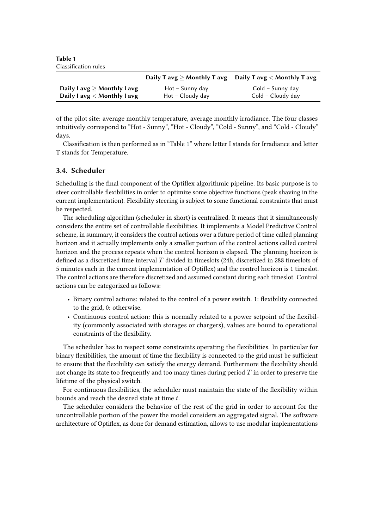<span id="page-4-0"></span>**Table 1** Classification rules

|                                  |                    | Daily T avg $\geq$ Monthly T avg Daily T avg $<$ Monthly T avg |
|----------------------------------|--------------------|----------------------------------------------------------------|
| Daily I avg $\geq$ Monthly I avg | Hot – Sunny day    | Cold – Sunny day                                               |
| Daily I avg $<$ Monthly I avg    | $Hot - Cloudy day$ | Cold – Cloudy day                                              |

of the pilot site: average monthly temperature, average monthly irradiance. The four classes intuitively correspond to "Hot - Sunny", "Hot - Cloudy", "Cold - Sunny", and "Cold - Cloudy" days.

Classification is then performed as in "Table [1"](#page-4-0) where letter I stands for Irradiance and letter T stands for Temperature.

### **3.4. Scheduler**

Scheduling is the final component of the Optiflex algorithmic pipeline. Its basic purpose is to steer controllable flexibilities in order to optimize some objective functions (peak shaving in the current implementation). Flexibility steering is subject to some functional constraints that must be respected.

The scheduling algorithm (scheduler in short) is centralized. It means that it simultaneously considers the entire set of controllable flexibilities. It implements a Model Predictive Control scheme, in summary, it considers the control actions over a future period of time called planning horizon and it actually implements only a smaller portion of the control actions called control horizon and the process repeats when the control horizon is elapsed. The planning horizon is defined as a discretized time interval  $T$  divided in timeslots (24h, discretized in 288 timeslots of 5 minutes each in the current implementation of Optiflex) and the control horizon is 1 timeslot. The control actions are therefore discretized and assumed constant during each timeslot. Control actions can be categorized as follows:

- Binary control actions: related to the control of a power switch. 1: flexibility connected to the grid, 0: otherwise.
- Continuous control action: this is normally related to a power setpoint of the flexibility (commonly associated with storages or chargers), values are bound to operational constraints of the flexibility.

The scheduler has to respect some constraints operating the flexibilities. In particular for binary flexibilities, the amount of time the flexibility is connected to the grid must be sufficient to ensure that the flexibility can satisfy the energy demand. Furthermore the flexibility should not change its state too frequently and too many times during period  $T$  in order to preserve the lifetime of the physical switch.

For continuous flexibilities, the scheduler must maintain the state of the flexibility within bounds and reach the desired state at time  $t$ .

The scheduler considers the behavior of the rest of the grid in order to account for the uncontrollable portion of the power the model considers an aggregated signal. The software architecture of Optiflex, as done for demand estimation, allows to use modular implementations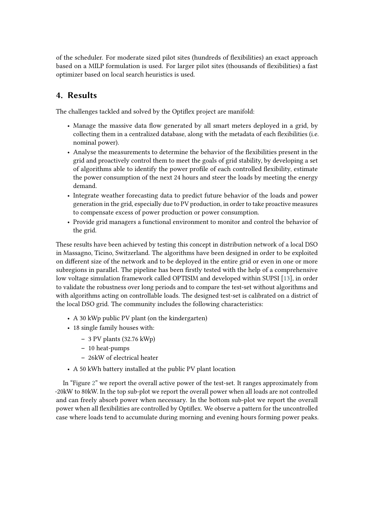of the scheduler. For moderate sized pilot sites (hundreds of flexibilities) an exact approach based on a MILP formulation is used. For larger pilot sites (thousands of flexibilities) a fast optimizer based on local search heuristics is used.

### **4. Results**

The challenges tackled and solved by the Optiflex project are manifold:

- Manage the massive data flow generated by all smart meters deployed in a grid, by collecting them in a centralized database, along with the metadata of each flexibilities (i.e. nominal power).
- Analyse the measurements to determine the behavior of the flexibilities present in the grid and proactively control them to meet the goals of grid stability, by developing a set of algorithms able to identify the power profile of each controlled flexibility, estimate the power consumption of the next 24 hours and steer the loads by meeting the energy demand.
- Integrate weather forecasting data to predict future behavior of the loads and power generation in the grid, especially due to PV production, in order to take proactive measures to compensate excess of power production or power consumption.
- Provide grid managers a functional environment to monitor and control the behavior of the grid.

These results have been achieved by testing this concept in distribution network of a local DSO in Massagno, Ticino, Switzerland. The algorithms have been designed in order to be exploited on different size of the network and to be deployed in the entire grid or even in one or more subregions in parallel. The pipeline has been firstly tested with the help of a comprehensive low voltage simulation framework called OPTISIM and developed within SUPSI [\[13\]](#page-8-1), in order to validate the robustness over long periods and to compare the test-set without algorithms and with algorithms acting on controllable loads. The designed test-set is calibrated on a district of the local DSO grid. The community includes the following characteristics:

- A 30 kWp public PV plant (on the kindergarten)
- 18 single family houses with:
	- **–** 3 PV plants (32.76 kWp)
	- **–** 10 heat-pumps
	- **–** 26kW of electrical heater
- A 50 kWh battery installed at the public PV plant location

In "Figure [2"](#page-6-0) we report the overall active power of the test-set. It ranges approximately from -20kW to 80kW. In the top sub-plot we report the overall power when all loads are not controlled and can freely absorb power when necessary. In the bottom sub-plot we report the overall power when all flexibilities are controlled by Optiflex. We observe a pattern for the uncontrolled case where loads tend to accumulate during morning and evening hours forming power peaks.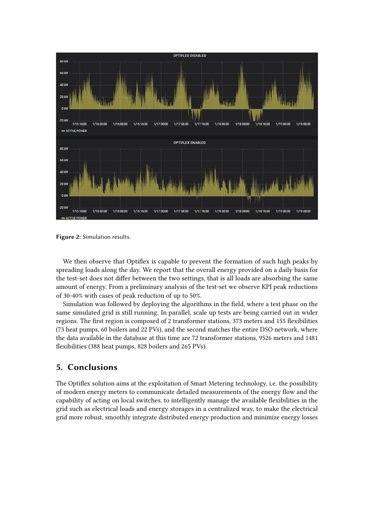

<span id="page-6-0"></span>**Figure 2:** Simulation results.

We then observe that Optiflex is capable to prevent the formation of such high peaks by spreading loads along the day. We report that the overall energy provided on a daily basis for the test-set does not differ between the two settings, that is all loads are absorbing the same amount of energy. From a preliminary analysis of the test-set we observe KPI peak reductions of 30-40% with cases of peak reduction of up to 50%.

Simulation was followed by deploying the algorithms in the field, where a test phase on the same simulated grid is still running. In parallel, scale up tests are being carried out in wider regions. The first region is composed of 2 transformer stations, 373 meters and 155 flexibilities (73 heat pumps, 60 boilers and 22 PVs), and the second matches the entire DSO network, where the data available in the database at this time are 72 transformer stations, 9526 meters and 1481 flexibilities (388 heat pumps, 828 boilers and 265 PVs).

### **5. Conclusions**

The Optiflex solution aims at the exploitation of Smart Metering technology, i.e. the possibility of modern energy meters to communicate detailed measurements of the energy flow and the capability of acting on local switches, to intelligently manage the available flexibilities in the grid such as electrical loads and energy storages in a centralized way, to make the electrical grid more robust, smoothly integrate distributed energy production and minimize energy losses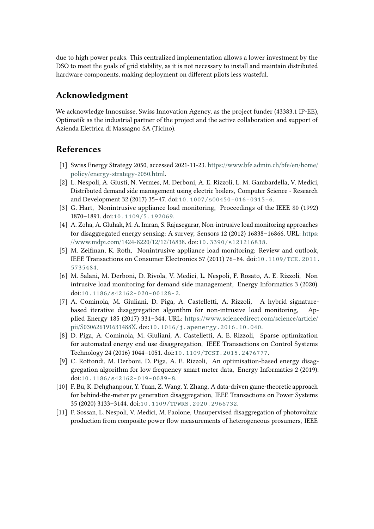due to high power peaks. This centralized implementation allows a lower investment by the DSO to meet the goals of grid stability, as it is not necessary to install and maintain distributed hardware components, making deployment on different pilots less wasteful.

### **Acknowledgment**

We acknowledge Innosuisse, Swiss Innovation Agency, as the project funder (43383.1 IP-EE), Optimatik as the industrial partner of the project and the active collaboration and support of Azienda Elettrica di Massagno SA (Ticino).

### **References**

- [1] Swiss Energy Strategy 2050, accessed 2021-11-23. [https://www.bfe.admin.ch/bfe/en/home/](https://www.bfe.admin.ch/bfe/en/home/policy/energy-strategy-2050.html) [policy/energy-strategy-2050.html.](https://www.bfe.admin.ch/bfe/en/home/policy/energy-strategy-2050.html)
- <span id="page-7-0"></span>[2] L. Nespoli, A. Giusti, N. Vermes, M. Derboni, A. E. Rizzoli, L. M. Gambardella, V. Medici, Distributed demand side management using electric boilers, Computer Science - Research and Development 32 (2017) 35–47. doi:[10.1007/s00450-016-0315-6](http://dx.doi.org/10.1007/s00450-016-0315-6).
- <span id="page-7-1"></span>[3] G. Hart, Nonintrusive appliance load monitoring, Proceedings of the IEEE 80 (1992) 1870–1891. doi:[10.1109/5.192069](http://dx.doi.org/10.1109/5.192069).
- <span id="page-7-2"></span>[4] A. Zoha, A. Gluhak, M. A. Imran, S. Rajasegarar, Non-intrusive load monitoring approaches for disaggregated energy sensing: A survey, Sensors 12 (2012) 16838–16866. URL: [https:](https://www.mdpi.com/1424-8220/12/12/16838) [//www.mdpi.com/1424-8220/12/12/16838.](https://www.mdpi.com/1424-8220/12/12/16838) doi:[10.3390/s121216838](http://dx.doi.org/10.3390/s121216838).
- <span id="page-7-3"></span>[5] M. Zeifman, K. Roth, Nonintrusive appliance load monitoring: Review and outlook, IEEE Transactions on Consumer Electronics 57 (2011) 76–84. doi:[10.1109/TCE.2011.](http://dx.doi.org/10.1109/TCE.2011.5735484) [5735484](http://dx.doi.org/10.1109/TCE.2011.5735484).
- <span id="page-7-4"></span>[6] M. Salani, M. Derboni, D. Rivola, V. Medici, L. Nespoli, F. Rosato, A. E. Rizzoli, Non intrusive load monitoring for demand side management, Energy Informatics 3 (2020). doi:[10.1186/s42162-020-00128-2](http://dx.doi.org/10.1186/s42162-020-00128-2).
- <span id="page-7-5"></span>[7] A. Cominola, M. Giuliani, D. Piga, A. Castelletti, A. Rizzoli, A hybrid signaturebased iterative disaggregation algorithm for non-intrusive load monitoring, Applied Energy 185 (2017) 331–344. URL: [https://www.sciencedirect.com/science/article/](https://www.sciencedirect.com/science/article/pii/S030626191631488X) [pii/S030626191631488X.](https://www.sciencedirect.com/science/article/pii/S030626191631488X) doi:[10.1016/j.apenergy.2016.10.040](http://dx.doi.org/10.1016/j.apenergy.2016.10.040).
- <span id="page-7-6"></span>[8] D. Piga, A. Cominola, M. Giuliani, A. Castelletti, A. E. Rizzoli, Sparse optimization for automated energy end use disaggregation, IEEE Transactions on Control Systems Technology 24 (2016) 1044–1051. doi:[10.1109/TCST.2015.2476777](http://dx.doi.org/10.1109/TCST.2015.2476777).
- <span id="page-7-7"></span>[9] C. Rottondi, M. Derboni, D. Piga, A. E. Rizzoli, An optimisation-based energy disaggregation algorithm for low frequency smart meter data, Energy Informatics 2 (2019). doi:[10.1186/s42162-019-0089-8](http://dx.doi.org/10.1186/s42162-019-0089-8).
- <span id="page-7-8"></span>[10] F. Bu, K. Dehghanpour, Y. Yuan, Z. Wang, Y. Zhang, A data-driven game-theoretic approach for behind-the-meter pv generation disaggregation, IEEE Transactions on Power Systems 35 (2020) 3133–3144. doi:[10.1109/TPWRS.2020.2966732](http://dx.doi.org/10.1109/TPWRS.2020.2966732).
- <span id="page-7-9"></span>[11] F. Sossan, L. Nespoli, V. Medici, M. Paolone, Unsupervised disaggregation of photovoltaic production from composite power flow measurements of heterogeneous prosumers, IEEE